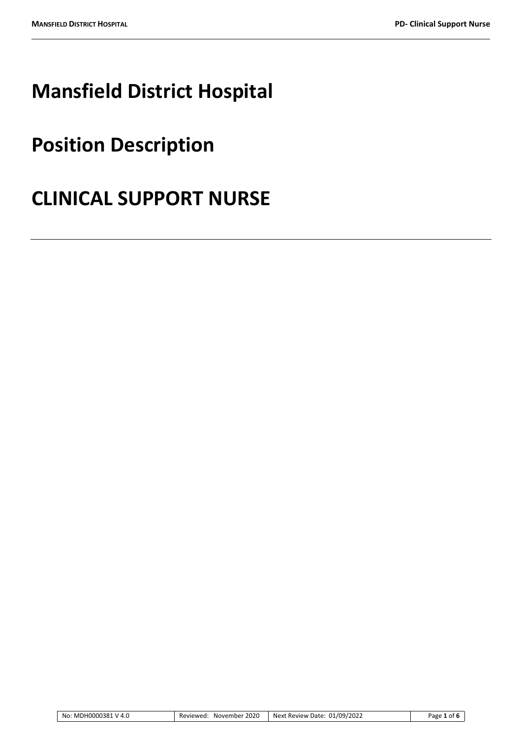# **Mansfield District Hospital**

## **Position Description**

## **CLINICAL SUPPORT NURSE**

| No: MDH0000381 V 4.0<br>Reviewed: | November 2020 | Next Review Date: 01/09/2022 | Page 1 of 6 |
|-----------------------------------|---------------|------------------------------|-------------|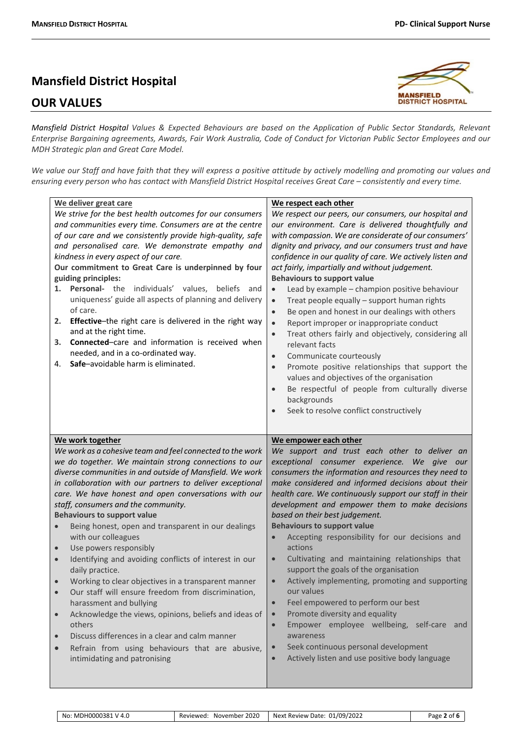## **Mansfield District Hospital**

### **OUR VALUES**



*Mansfield District Hospital Values & Expected Behaviours are based on the Application of Public Sector Standards, Relevant Enterprise Bargaining agreements, Awards, Fair Work Australia, Code of Conduct for Victorian Public Sector Employees and our MDH Strategic plan and Great Care Model.*

*We value our Staff and have faith that they will express a positive attitude by actively modelling and promoting our values and ensuring every person who has contact with Mansfield District Hospital receives Great Care – consistently and every time.*

| We deliver great care<br>We strive for the best health outcomes for our consumers<br>and communities every time. Consumers are at the centre<br>of our care and we consistently provide high-quality, safe<br>and personalised care. We demonstrate empathy and<br>kindness in every aspect of our care.<br>Our commitment to Great Care is underpinned by four<br>guiding principles:<br>Personal- the individuals' values,<br>beliefs<br>and<br>1.<br>uniqueness' guide all aspects of planning and delivery<br>of care.<br>Effective-the right care is delivered in the right way<br>2.<br>and at the right time.<br>Connected-care and information is received when<br>3.<br>needed, and in a co-ordinated way.<br>Safe-avoidable harm is eliminated.<br>4.                                                                                                                                                                                                                | We respect each other<br>We respect our peers, our consumers, our hospital and<br>our environment. Care is delivered thoughtfully and<br>with compassion. We are considerate of our consumers'<br>dignity and privacy, and our consumers trust and have<br>confidence in our quality of care. We actively listen and<br>act fairly, impartially and without judgement.<br><b>Behaviours to support value</b><br>Lead by example - champion positive behaviour<br>$\bullet$<br>Treat people equally - support human rights<br>$\bullet$<br>Be open and honest in our dealings with others<br>$\bullet$<br>Report improper or inappropriate conduct<br>$\bullet$<br>Treat others fairly and objectively, considering all<br>$\bullet$<br>relevant facts<br>Communicate courteously<br>$\bullet$<br>Promote positive relationships that support the<br>$\bullet$<br>values and objectives of the organisation<br>Be respectful of people from culturally diverse<br>$\bullet$<br>backgrounds<br>Seek to resolve conflict constructively |
|--------------------------------------------------------------------------------------------------------------------------------------------------------------------------------------------------------------------------------------------------------------------------------------------------------------------------------------------------------------------------------------------------------------------------------------------------------------------------------------------------------------------------------------------------------------------------------------------------------------------------------------------------------------------------------------------------------------------------------------------------------------------------------------------------------------------------------------------------------------------------------------------------------------------------------------------------------------------------------|--------------------------------------------------------------------------------------------------------------------------------------------------------------------------------------------------------------------------------------------------------------------------------------------------------------------------------------------------------------------------------------------------------------------------------------------------------------------------------------------------------------------------------------------------------------------------------------------------------------------------------------------------------------------------------------------------------------------------------------------------------------------------------------------------------------------------------------------------------------------------------------------------------------------------------------------------------------------------------------------------------------------------------------|
| We work together<br>We work as a cohesive team and feel connected to the work<br>we do together. We maintain strong connections to our<br>diverse communities in and outside of Mansfield. We work<br>in collaboration with our partners to deliver exceptional<br>care. We have honest and open conversations with our<br>staff, consumers and the community.<br><b>Behaviours to support value</b><br>Being honest, open and transparent in our dealings<br>$\bullet$<br>with our colleagues<br>Use powers responsibly<br>$\bullet$<br>Identifying and avoiding conflicts of interest in our<br>daily practice.<br>Working to clear objectives in a transparent manner<br>Our staff will ensure freedom from discrimination,<br>harassment and bullying<br>Acknowledge the views, opinions, beliefs and ideas of<br>$\bullet$<br>others<br>Discuss differences in a clear and calm manner<br>Refrain from using behaviours that are abusive,<br>intimidating and patronising | We empower each other<br>We support and trust each other to deliver an<br>exceptional consumer experience.<br>We give our<br>consumers the information and resources they need to<br>make considered and informed decisions about their<br>health care. We continuously support our staff in their<br>development and empower them to make decisions<br>based on their best judgement.<br><b>Behaviours to support value</b><br>Accepting responsibility for our decisions and<br>$\bullet$<br>actions<br>Cultivating and maintaining relationships that<br>$\bullet$<br>support the goals of the organisation<br>Actively implementing, promoting and supporting<br>our values<br>Feel empowered to perform our best<br>$\bullet$<br>Promote diversity and equality<br>$\bullet$<br>Empower employee wellbeing, self-care and<br>$\bullet$<br>awareness<br>Seek continuous personal development<br>Actively listen and use positive body language<br>$\bullet$                                                                      |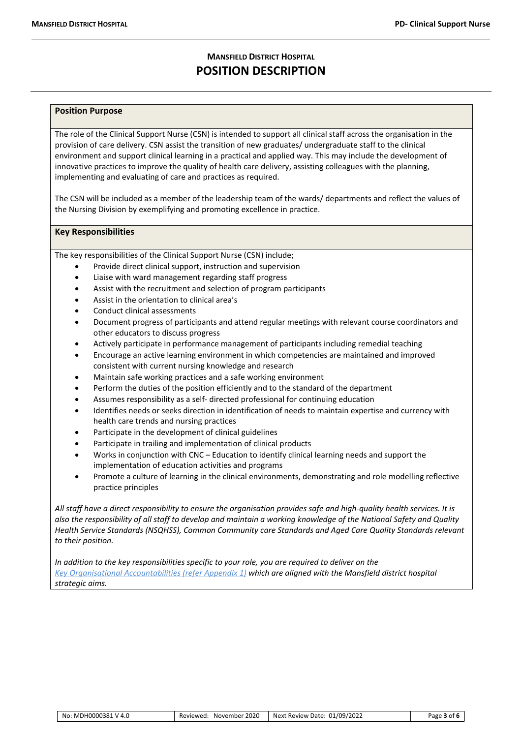### **MANSFIELD DISTRICT HOSPITAL POSITION DESCRIPTION**

#### **Position Purpose**

The role of the Clinical Support Nurse (CSN) is intended to support all clinical staff across the organisation in the provision of care delivery. CSN assist the transition of new graduates/ undergraduate staff to the clinical environment and support clinical learning in a practical and applied way. This may include the development of innovative practices to improve the quality of health care delivery, assisting colleagues with the planning, implementing and evaluating of care and practices as required.

The CSN will be included as a member of the leadership team of the wards/ departments and reflect the values of the Nursing Division by exemplifying and promoting excellence in practice.

#### **Key Responsibilities**

The key responsibilities of the Clinical Support Nurse (CSN) include;

- Provide direct clinical support, instruction and supervision
- Liaise with ward management regarding staff progress
- Assist with the recruitment and selection of program participants
- Assist in the orientation to clinical area's
- Conduct clinical assessments
- Document progress of participants and attend regular meetings with relevant course coordinators and other educators to discuss progress
- Actively participate in performance management of participants including remedial teaching
- Encourage an active learning environment in which competencies are maintained and improved consistent with current nursing knowledge and research
- Maintain safe working practices and a safe working environment
- Perform the duties of the position efficiently and to the standard of the department
- Assumes responsibility as a self- directed professional for continuing education
- Identifies needs or seeks direction in identification of needs to maintain expertise and currency with health care trends and nursing practices
- Participate in the development of clinical guidelines
- Participate in trailing and implementation of clinical products
- Works in conjunction with CNC Education to identify clinical learning needs and support the implementation of education activities and programs
- Promote a culture of learning in the clinical environments, demonstrating and role modelling reflective practice principles

*All staff have a direct responsibility to ensure the organisation provides safe and high-quality health services. It is also the responsibility of all staff to develop and maintain a working knowledge of the National Safety and Quality Health Service Standards (NSQHSS), Common Community care Standards and Aged Care Quality Standards relevant to their position.*

*In addition to the key responsibilities specific to your role, you are required to deliver on the Key Organisational Accountabilities (refer Appendix 1) which are aligned with the Mansfield district hospital strategic aims.*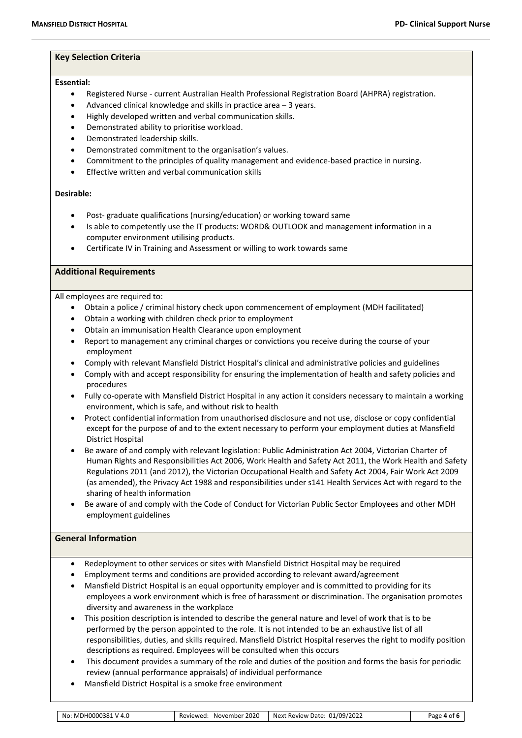#### **Key Selection Criteria**

#### **Essential:**

- Registered Nurse current Australian Health Professional Registration Board (AHPRA) registration.
- Advanced clinical knowledge and skills in practice area 3 years.
- Highly developed written and verbal communication skills.
- Demonstrated ability to prioritise workload.
- Demonstrated leadership skills.
- Demonstrated commitment to the organisation's values.
- Commitment to the principles of quality management and evidence-based practice in nursing.
- Effective written and verbal communication skills

#### **Desirable:**

- Post- graduate qualifications (nursing/education) or working toward same
- Is able to competently use the IT products: WORD& OUTLOOK and management information in a computer environment utilising products.
- Certificate IV in Training and Assessment or willing to work towards same

#### **Additional Requirements**

All employees are required to:

- Obtain a police / criminal history check upon commencement of employment (MDH facilitated)
- Obtain a working with children check prior to employment
- Obtain an immunisation Health Clearance upon employment
- Report to management any criminal charges or convictions you receive during the course of your employment
- Comply with relevant Mansfield District Hospital's clinical and administrative policies and guidelines
- Comply with and accept responsibility for ensuring the implementation of health and safety policies and procedures
- Fully co-operate with Mansfield District Hospital in any action it considers necessary to maintain a working environment, which is safe, and without risk to health
- Protect confidential information from unauthorised disclosure and not use, disclose or copy confidential except for the purpose of and to the extent necessary to perform your employment duties at Mansfield District Hospital
- Be aware of and comply with relevant legislation: Public Administration Act 2004, Victorian Charter of Human Rights and Responsibilities Act 2006, Work Health and Safety Act 2011, the Work Health and Safety Regulations 2011 (and 2012), the Victorian Occupational Health and Safety Act 2004, Fair Work Act 2009 (as amended), the Privacy Act 1988 and responsibilities under s141 Health Services Act with regard to the sharing of health information
- Be aware of and comply with the Code of Conduct for Victorian Public Sector Employees and other MDH employment guidelines

#### **General Information**

- Redeployment to other services or sites with Mansfield District Hospital may be required
- Employment terms and conditions are provided according to relevant award/agreement
- Mansfield District Hospital is an equal opportunity employer and is committed to providing for its employees a work environment which is free of harassment or discrimination. The organisation promotes diversity and awareness in the workplace
- This position description is intended to describe the general nature and level of work that is to be performed by the person appointed to the role. It is not intended to be an exhaustive list of all responsibilities, duties, and skills required. Mansfield District Hospital reserves the right to modify position descriptions as required. Employees will be consulted when this occurs
- This document provides a summary of the role and duties of the position and forms the basis for periodic review (annual performance appraisals) of individual performance
- Mansfield District Hospital is a smoke free environment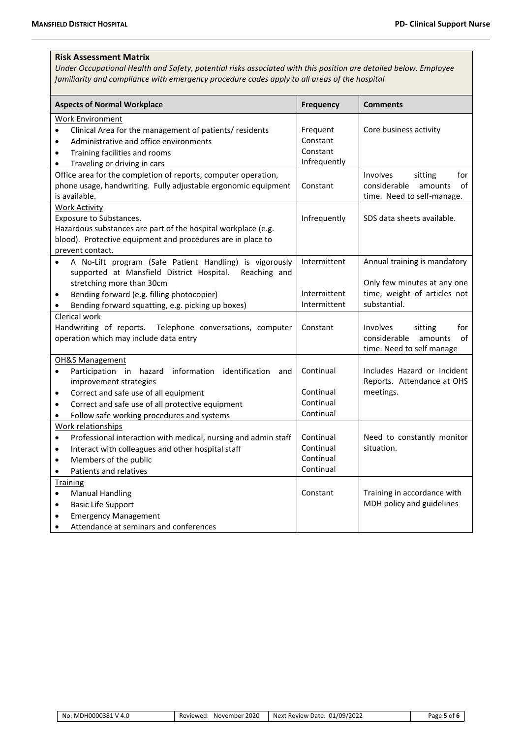#### **Risk Assessment Matrix**

*Under Occupational Health and Safety, potential risks associated with this position are detailed below. Employee familiarity and compliance with emergency procedure codes apply to all areas of the hospital*

| <b>Aspects of Normal Workplace</b>                                                                                                                                                                                                                                                            | <b>Frequency</b>                                 | <b>Comments</b>                                                                                             |
|-----------------------------------------------------------------------------------------------------------------------------------------------------------------------------------------------------------------------------------------------------------------------------------------------|--------------------------------------------------|-------------------------------------------------------------------------------------------------------------|
| Work Environment                                                                                                                                                                                                                                                                              |                                                  |                                                                                                             |
| Clinical Area for the management of patients/residents<br>٠<br>Administrative and office environments<br>$\bullet$<br>Training facilities and rooms<br>$\bullet$<br>Traveling or driving in cars<br>$\bullet$                                                                                 | Frequent<br>Constant<br>Constant<br>Infrequently | Core business activity                                                                                      |
| Office area for the completion of reports, computer operation,<br>phone usage, handwriting. Fully adjustable ergonomic equipment<br>is available.                                                                                                                                             | Constant                                         | Involves<br>sitting<br>for<br>of<br>considerable<br>amounts<br>time. Need to self-manage.                   |
| <b>Work Activity</b><br>Exposure to Substances.<br>Hazardous substances are part of the hospital workplace (e.g.<br>blood). Protective equipment and procedures are in place to<br>prevent contact.                                                                                           | Infrequently                                     | SDS data sheets available.                                                                                  |
| A No-Lift program (Safe Patient Handling) is vigorously<br>supported at Mansfield District Hospital.<br>Reaching and<br>stretching more than 30cm<br>Bending forward (e.g. filling photocopier)<br>$\bullet$<br>Bending forward squatting, e.g. picking up boxes)                             | Intermittent<br>Intermittent<br>Intermittent     | Annual training is mandatory<br>Only few minutes at any one<br>time, weight of articles not<br>substantial. |
| Clerical work<br>Handwriting of reports.<br>Telephone conversations, computer<br>operation which may include data entry                                                                                                                                                                       | Constant                                         | Involves<br>sitting<br>for<br>of<br>considerable<br>amounts<br>time. Need to self manage                    |
| OH&S Management<br>Participation in hazard information identification<br>and<br>$\bullet$<br>improvement strategies<br>Correct and safe use of all equipment<br>$\bullet$<br>Correct and safe use of all protective equipment<br>$\bullet$<br>Follow safe working procedures and systems<br>٠ | Continual<br>Continual<br>Continual<br>Continual | Includes Hazard or Incident<br>Reports. Attendance at OHS<br>meetings.                                      |
| Work relationships<br>Professional interaction with medical, nursing and admin staff<br>$\bullet$<br>Interact with colleagues and other hospital staff<br>$\bullet$<br>Members of the public<br>$\bullet$<br>Patients and relatives<br>$\bullet$                                              | Continual<br>Continual<br>Continual<br>Continual | Need to constantly monitor<br>situation.                                                                    |
| <b>Training</b><br><b>Manual Handling</b><br>$\bullet$<br><b>Basic Life Support</b><br>٠<br><b>Emergency Management</b><br>$\bullet$<br>Attendance at seminars and conferences<br>$\bullet$                                                                                                   | Constant                                         | Training in accordance with<br>MDH policy and guidelines                                                    |